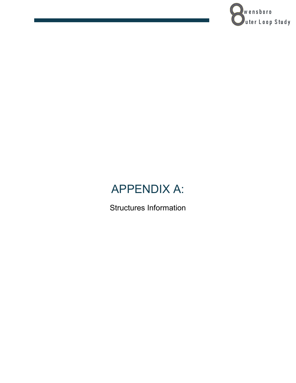

## APPENDIX A:

Structures Information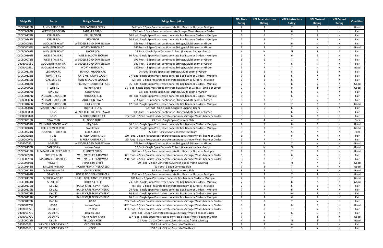| <b>Bridge ID</b>         | Route                    | <b>Bridge Crossing</b>                       | <b>Bridge Description</b>                                                                                                                           | <b>NBI Deck</b><br>Rating | <b>NBI Superstructure</b><br>Rating | <b>NBI Substructure</b><br>Rating | <b>NBI Channel</b><br>Rating | <b>NBI Culvert</b><br>Rating | <b>Condition</b> |
|--------------------------|--------------------------|----------------------------------------------|-----------------------------------------------------------------------------------------------------------------------------------------------------|---------------------------|-------------------------------------|-----------------------------------|------------------------------|------------------------------|------------------|
| 030C00120N               | ALVEY BRIDGE RD          | <b>OLD PANTHER CREEK</b>                     | 84 Foot - 3 Span Prestressed concrete Box Beam or Girders - Multiple                                                                                | $\overline{7}$            | $\overline{7}$                      | $\overline{7}$                    | $\overline{7}$               | N                            | Good             |
| 030C00083N               | <b>WAYNE BRIDGE RD</b>   | <b>PANTHER CREEK</b>                         | 135 Foot - 3 Span Prestressed concrete Stringer/Multi-beam or Girder                                                                                | 7                         | $\overline{7}$                      | 6                                 | $\overline{7}$               | N                            | Fair             |
| 030C00178N               | <b>KELLER RD</b>         | <b>KELLER DITCH</b>                          | 50 Foot - Single Span Prestressed concrete Box Beam or Girders - Multiple                                                                           | -6                        | 6                                   |                                   | 8                            | N                            | Fair             |
| 030C00148N               | <b>KELLER RD</b>         | <b>BIG DITCH</b>                             | 50 Foot - Single Span Prestressed concrete Box Beam or Girders - Multiple                                                                           | -6                        | -5                                  | $\overline{7}$                    | $\overline{7}$               | N                            | Fair             |
| 030B00058R               | <b>AUDUBON PKWY</b>      | WENDELL FORD EXPRESSWAY                      | 189 Foot - 2 Span Steel continuous Stringer/Multi-beam or Girder                                                                                    | $\overline{7}$            | $\overline{7}$                      | 6                                 | $\mathsf{N}$                 | N                            | Fair             |
| 030B00059R               | <b>AUDUBON PKWY</b>      | <b>WORTHINGTON RD</b>                        | 140 Foot - 3 Span Steel continuous Stringer/Multi-beam or Girder                                                                                    | $\overline{7}$            | $\overline{7}$                      | $\overline{7}$                    | $\mathsf{N}$                 | N                            | Good             |
| 030B00062N               | <b>AUDUBON PKWY</b>      | <b>RHODES CK</b>                             | 23 Foot - Single Span Concrete Culvert (includes frame culverts)                                                                                    | N                         | N                                   | N                                 | -5                           | 6                            | Fair             |
| 030C00103N               | WEST 5TH ST RD           | KATIE MEADOW SLOUGH                          | 30 Foot - Single Span Prestressed concrete Box Beam or Girders - Multiple                                                                           | $\overline{7}$            | $\overline{7}$                      | 6                                 | 6                            | N                            | Fair             |
| 030B00071N               | WEST 5TH ST RD           | WENDELL FORD EXPRESSWAY                      | 199 Foot - 2 Span Steel continuous Stringer/Multi-beam or Girder                                                                                    | -5                        | 6                                   | $\overline{7}$                    | $\mathsf{N}$                 | N                            | Fair             |
| 030B00058L               | <b>AUDUBON PKWY NC</b>   | WENDELL FORD EXPRESSWAY                      | 189 Foot - 2 Span Steel continuous Stringer/Multi-beam or Girder                                                                                    | $\overline{7}$            | $\overline{7}$                      | 6                                 | $\mathsf{N}$                 | N                            | Fair             |
| 030B00059L               | <b>AUDUBON PKWY NC</b>   | <b>WORTHINGTON RD</b>                        | 140 Foot - 3 Span Steel continuous Stringer/Multi-beam or Girder                                                                                    | $\overline{7}$            | $\overline{7}$                      | $\overline{7}$                    | N                            | N                            | Good             |
| 030C00114N               | LEE RUDY RD              | <b>BRANCH-RHODES CRK</b>                     | 24 Foot - Single Span Steel Stringer/Multi-beam or Girder                                                                                           | 6                         | -5                                  | 5                                 | 6                            | N                            | Fair             |
| 030C00128N               | <b>WIMSATT RD</b>        | <b>KATE MEADOW SLOUGH</b>                    | 27 Foot - Single Span Prestressed concrete Box Beam or Girders - Multiple                                                                           | $\overline{7}$            | 8                                   | 5                                 |                              | N                            | Fair             |
| 030C00119N               | <b>OAKFORD RD</b>        | KATIE MEADOW SLOUGH                          | 72 Foot - 3 Span Prestressed concrete Box Beam or Girders - Multiple                                                                                | -6                        | 6                                   | 6                                 | $\overline{7}$               | N                            | Fair             |
| 030C00183N               | <b>FIELDS RD</b>         | TRIBUTARY TO BURNETT CRE                     | 35 Foot - Single Span Prestressed concrete Box Beam or Girders - Multiple                                                                           | $\overline{7}$            | 8                                   | 8                                 | -5                           | N                            | Good             |
| 030C00209N               | FIELDS RD                | <b>Burnett Creek</b>                         | 65 Foot - Single Span Prestressed concrete Box Beam or Girders - Single or Spred                                                                    | -9                        | 9                                   | 9                                 | 8                            | N                            | Good             |
| 030C00187N               | KING RD                  | <b>Caney Creek</b>                           | 33 Foot - Single Span Steel Stringer/Multi-beam or Girder                                                                                           | $\overline{7}$            | $\overline{7}$                      | 6                                 | -5                           | N                            | Fair             |
| 030C00167N               | LYDDANE BRIDGE RD        | <b>RHODES CREEK</b>                          | 50 Foot - Single Span Prestressed concrete Box Beam or Girders - Multiple                                                                           | 6                         | $\overline{7}$                      | 6                                 | 6                            | N                            | Fair             |
| 030B00060N               | LYDDANE BRIDGE RD        | <b>AUDUBON PKWY</b>                          | 214 Foot - 2 Span Steel continuous Stringer/Multi-beam or Girder                                                                                    | 5                         |                                     | 7                                 | N                            | N                            | Fair             |
| 030C00166N               | <b>LYDDANE BRIDGE RD</b> | <b>GILES DITCH</b>                           | 47 Foot - Single Span Prestressed concrete Box Beam or Girders - Multiple                                                                           | $\overline{7}$            | $\overline{7}$                      | $\overline{7}$                    | $\overline{7}$               | N                            | Good             |
| 030C00004N               | SOUTH HAMPTON RD         | <b>BURNETT FORK</b>                          | 32 Foot - Single Span Concrete Channel Beam                                                                                                         | 6                         | -5                                  | 6                                 | -5                           | N                            | Fair             |
| 030B00085R               | $I-165$                  | WENDELL FORD EXPRESSWAY                      | 189 Foot - 2 Span Steel continuous Stringer/Multi-beam or Girder                                                                                    | 6                         |                                     | 6                                 | N                            | N                            | Fair             |
| 030B00082R               | $1 - 165$                | N FORK PANTHER CK                            | 155 Foot - 3 Span Prestressed concrete continuous Stringer/Multi-beam or Girder                                                                     | 6                         | 6                                   | 6                                 | $\overline{7}$               | N                            | Fair             |
|                          |                          |                                              |                                                                                                                                                     |                           |                                     | $\boldsymbol{\Delta}$             |                              | N                            |                  |
| 030C00016N               | <b>GRAVES LN</b>         | ALLGOOD DITCH                                | 23 Foot - Single Span Concrete Slab                                                                                                                 | -6<br>$\overline{7}$      | Δ                                   |                                   | -6                           |                              | Poor             |
| 030C00191N               | WINNING COLORS WAY       | <b>Big Ditch</b>                             | 36 Foot - Single Span Prestressed concrete Box Beam or Girders - Multiple                                                                           |                           | 8<br>$\overline{7}$                 | 8<br>$\overline{7}$               | 8                            | N                            | Good             |
| 030C00204N               | <b>KELLY CEMETERY RD</b> | Slop Creek                                   | 25 Foot - Single Span Prestressed concrete Box Beam or Girders - Multiple                                                                           | 8                         |                                     |                                   | 8                            | N                            | Good             |
| 030C00021N               | <b>ROCKPORT FERRY RD</b> | <b>KELLY CREEK</b>                           | 27 Foot - Single Span Concrete Tee Beam                                                                                                             | 5<br>6                    | $\overline{7}$                      | 5<br>6                            | $\overline{7}$               | N<br>N                       | Poor             |
| 030B00081R               | $1 - 165$<br>$I-165$     | N FORK PANTHER CK                            | 180 Foot - 3 Span Prestressed concrete continuous Stringer/Multi-beam or Girder                                                                     | 6                         |                                     |                                   | $\overline{ }$               | N                            | Fair             |
| 030B00094R<br>030B00085L | I-165 NC                 | N FORK PANTHER CK<br>WENDELL FORD EXPRESSWAY | 155 Foot - 3 Span Prestressed concrete continuous Stringer/Multi-beam or Girder<br>189 Foot - 2 Span Steel continuous Stringer/Multi-beam or Girder | $\overline{7}$            | $\overline{7}$                      | $\overline{7}$                    | $\mathsf{N}$                 | N                            | Fair<br>Good     |
| 030C00199N               | <b>DANIELS LN</b>        | <b>Yellow Creek</b>                          | 32 Foot - Single Span Concrete Culvert (includes frame culverts)                                                                                    | N                         | N                                   | N                                 | -8                           | 8                            | Good             |
| 030C00115N               | PLEASANT VALLEY RD NO. 2 | <b>BURNETT CREEK</b>                         | 68 Foot - 3 Span Prestressed concrete Box Beam or Girders - Multiple                                                                                | 8                         | 8                                   | $\overline{7}$                    | -5                           | N                            | Good             |
| 030B00093N               | <b>SUTHERLIN LN</b>      | W.H. NATCHER PARKWAY                         | 321 Foot - 4 Span Prestressed concrete continuous Stringer/Multi-beam or Girder                                                                     | -5                        | 6                                   | 6                                 | N                            | N                            | Fair             |
| 030B00092N               | MASONVILLE-HABIT RD      | W.H. NATCHER PARKWAY                         | 258 Foot - 4 Span Prestressed concrete continuous Stringer/Multi-beam or Girder                                                                     | -5                        | $\overline{7}$                      | $\overline{7}$                    | N                            | N                            | Fair             |
| 030C00206N               | <b>VILLA PT</b>          | Horse Fork Creek                             | 29 Foot - 2 Span Concrete Culvert (includes frame culverts)                                                                                         | N                         | $\mathsf{N}$                        | N                                 |                              | $\overline{7}$               | Good             |
| 030C00143N               | MILLERS MILL RD          | NORTH FK PANTHER CREEK                       | 93 Foot - 3 Span Concrete Slab                                                                                                                      | $\overline{7}$            | 8                                   | $\overline{7}$                    | $\overline{7}$               | N                            | Good             |
| 030C00122N               | OLD HIGHWAY 54           | <b>CANEY CREEK</b>                           | 34 Foot - Single Span Concrete Slab                                                                                                                 | 8                         |                                     | 8                                 |                              | N                            | Good             |
| 030C00101N               | <b>VEACH RD</b>          | HORSE FK OF PANTHER CRK                      | 83 Foot - 3 Span Prestressed concrete Box Beam or Girders - Multiple                                                                                | $\overline{7}$            |                                     |                                   | $\overline{a}$               | N                            | Good             |
| 030C00133N               | SUTHERLAND RD            | NORTH FORK PANTHER CREEK                     | 106 Foot - 3 Span Prestressed concrete Box Beam or Girders - Multiple                                                                               | $\overline{7}$            | $\overline{7}$                      | $\overline{7}$                    | -5                           | N                            | Good             |
| 030C00141N               | SHARP RD                 | <b>RHODES CREEK</b>                          | 73 Foot - Single Span Prestressed concrete Box Beam or Girders - Multiple                                                                           | $\overline{7}$            | $\overline{7}$                      | 8                                 |                              | N                            | Good             |
| 030B00130N               | KY-142                   | <b>BAILEY CR; N.FK. PANTHER C</b>            | 78 Foot - 3 Span Prestressed concrete Box Beam or Girders - Multiple                                                                                | $\overline{7}$            | 6                                   | 6                                 | -6                           | N                            | Fair             |
| 030B00129N               | KY-142                   | <b>BAILEY CR; N.FK. PANTHER C</b>            | 24 Foot - Single Span Prestressed concrete Box Beam or Girders - Multiple                                                                           | $\overline{7}$            | $\overline{7}$                      | 6                                 | - 7                          | N                            | Fair             |
| 030B00128N               | KY-142                   | <b>BAILEY CR; N.FK. PANTHER C</b>            | 34 Foot - Single Span Prestressed concrete Box Beam or Girders - Multiple                                                                           | $\overline{7}$            | 6                                   | 6                                 | - 7                          | N                            | Fair             |
| 030B00127N               | KY-142                   | <b>BAILEY CR; N.FK. PANTHER C</b>            | 26 Foot - Single Span Prestressed concrete Box Beam or Girders - Multiple                                                                           | $\overline{7}$            | $\overline{7}$                      | 6                                 | $\overline{7}$               | N                            | Fair             |
| 030B00173N               | KY-144                   | <b>US 60</b>                                 | 295 Foot - 4 Span Prestressed concrete continuous Stringer/Multi-beam or Girder                                                                     | -6                        | 8                                   | $\overline{7}$                    | N                            | N                            | Fair             |
| 030B00175R               | <b>US-60</b>             | <b>Yellow Creek</b>                          | 892 Foot - 9 Span Prestressed concrete continuous Stringer/Multi-beam or Girder                                                                     | 8                         | $\overline{7}$                      | 8                                 | $\overline{7}$               | N                            | Good             |
| 030B00172L               | <b>US-60 NC</b>          | KY 1456                                      | 333 Foot - 3 Span Prestressed concrete continuous Stringer/Multi-beam or Girder                                                                     | -6                        | 8                                   | $\overline{7}$                    | N                            | N                            | Fair             |
| 030B00171L               | <b>US-60 NC</b>          | Daniels Lane                                 | 189 Foot - 3 Span Concrete continuous Stringer/Multi-beam or Girder                                                                                 | $\overline{7}$            | 6                                   | 6                                 | N                            | N                            | Fair             |
| 030B00170L               | <b>US-60 NC</b>          | Trib. to Yellow Creek                        | 117 Foot - Single Span Prestressed concrete Stringer/Multi-beam or Girder                                                                           | $\overline{7}$            | 8                                   | $\overline{7}$                    | 8                            | N                            | Good             |
| 030B00011N               | KY-144                   | YELLOW CREEK                                 | 28 Foot - 2 Span Concrete Culvert (includes frame culverts)                                                                                         | $\mathsf{N}$              | N                                   | N                                 | -5                           | $\overline{7}$               | Good             |
| 030B00069L               | WENDELL FORD EXPY NC     | OLD ICRR BED                                 | 220 Foot - 4 Span Concrete Tee Beam                                                                                                                 | $\overline{7}$            | $\overline{7}$                      | 6                                 | 8                            | N                            | Fair             |
| 030B00068L               | WENDELL FORD EXPY NC     | KY298                                        | 150 Foot - 3 Span Concrete Tee Beam                                                                                                                 | 6                         | 6                                   | $\overline{7}$                    | N                            | N                            | Fair             |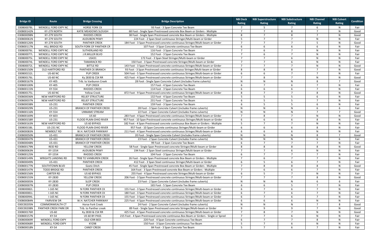| <b>Bridge ID</b> | Route                     | <b>Bridge Crossing</b>         | <b>Bridge Description</b>                                                               | <b>NBI Deck</b><br>Rating | <b>NBI Superstructure</b><br>Rating | <b>NBI Substructure</b><br>Rating | <b>NBI Channel</b><br>Rating | <b>NBI Culvert</b><br>Rating | <b>Condition</b> |
|------------------|---------------------------|--------------------------------|-----------------------------------------------------------------------------------------|---------------------------|-------------------------------------|-----------------------------------|------------------------------|------------------------------|------------------|
| 030B00078L       | WENDELL FORD EXPY NC      | <b>HORSE FORK CK</b>           | 93 Foot - 3 Span Concrete Tee Beam                                                      | $\overline{7}$            | -5                                  | $\overline{7}$                    | -6                           | N                            | Fair             |
| 030B00142N       | KY-279 NORTH              | KATIE MEADOWS SLOUGH           | 68 Foot - Single Span Prestressed concrete Box Beam or Girders - Multiple               | $\overline{7}$            | $\overline{7}$                      | 8                                 | $\overline{7}$               | N                            | Good             |
| 030B00098N       | KY-279 SOUTH              | <b>RHODES CREEK</b>            | 38 Foot - Single Span Prestressed concrete Box Beam or Girders - Multiple               | 8                         | $\overline{7}$                      | 8                                 | $\overline{7}$               | N                            | Good             |
| 030B00061N       | KY-279 SOUTH              | <b>AUDUBON PKWY</b>            | 224 Foot - 2 Span Steel continuous Stringer/Multi-beam or Girder                        | .5                        | $\overline{7}$                      | $\overline{7}$                    | $\mathsf{N}$                 | N                            | Fair             |
| 030B00126N       | KY-279 SOUTH              | <b>PANTHER CREEK</b>           | 184 Foot - 3 Span Prestressed concrete continuous Stringer/Multi-beam or Girder         | $\overline{7}$            | $\overline{7}$                      | $\overline{7}$                    | -5                           | N                            | Good             |
| 030B00117N       | HILL BRIDGE RD            | SOUTH FORK OF PANTHER CR       | 107 Foot - 3 Span Concrete continuous Tee Beam                                          | 6                         |                                     | 6                                 | -6                           | N                            | Fair             |
| 030B00076L       | WENDELL FORD EXPY NC      | SUTHERLAND RD                  | 116 Foot - 3 Span Concrete Tee Beam                                                     | $\overline{7}$            |                                     | $\overline{7}$                    | N <sub>N</sub>               | N                            | Fair             |
| 030B00077L       | WENDELL FORD EXPY NC      | J.R.MILLER BLVD                | 152 Foot - 3 Span Concrete Tee Beam                                                     | $\overline{7}$            |                                     | $\overline{7}$                    | N <sub>N</sub>               | N                            | Fair             |
| 030B00075L       | WENDELL FORD EXPY NC      | US431                          | 172 Foot - 3 Span Steel Stringer/Multi-beam or Girder                                   | $\overline{7}$            | $\overline{7}$                      | 6                                 | $\mathsf{N}$                 | N                            | Fair             |
| 030B00074L       | WENDELL FORD EXPY NC      | <b>TAMARACK RD</b>             | 150 Foot - 3 Span Prestressed concrete Stringer/Multi-beam or Girder                    | $\overline{7}$            | $\mathcal{L}$                       | 6                                 | -N                           | N                            | Fair             |
| 030B00072L       | WENDELL FORD EXPY NC      | <b>BITTLE RD</b>               | 143 Foot - 3 Span Prestressed concrete continuous Stringer/Multi-beam or Girder         | $\overline{7}$            |                                     | $\overline{7}$                    | N.                           | N                            | Good             |
| 030B00150N       | OLD HARTFORD RD           | PANTHER CK BRANCH              | 93 Foot - 3 Span Prestressed concrete continuous Stringer/Multi-beam or Girder          | 8                         | 8                                   | 8                                 | $\overline{7}$               | N                            | Good             |
| 030B00152L       | <b>US-60 NC</b>           | <b>PUP CREEK</b>               | 504 Foot - 5 Span Prestressed concrete continuous Stringer/Multi-beam or Girder         | 6                         | -6                                  | $\overline{7}$                    | $\overline{7}$               | N                            | Fair             |
| 030B00176L       | <b>US-60 NC</b>           | Ky 2830 & CSX RR               | 425 Foot - 4 Span Prestressed concrete continuous Stringer/Multi-beam or Girder         | $\overline{7}$            | 8                                   | $\overline{7}$                    | $\mathsf{N}$                 | N                            | Good             |
| 030B00167N       | KY-405                    | Trib. to Vanburen Creek        | 28 Foot - Single Span Concrete Culvert (includes frame culverts)                        | N                         | N                                   | N                                 | 8                            | $\overline{7}$               | Good             |
| 030B00100N       | KY-405                    | <b>PUP CREEK</b>               | 157 Foot - 4 Span Concrete Tee Beam                                                     | 6                         |                                     | 6                                 |                              | N                            | Fair             |
| 030B00115N       | KY-554                    | <b>RHODES CREEK</b>            | 114 Foot - 3 Span Concrete Tee Beam                                                     | 6                         | 6                                   | 6                                 | $\overline{7}$               | N                            | Fair             |
| 030B00175L       | <b>US-60 NC</b>           | <b>Yellow Creek</b>            | 872 Foot - 9 Span Prestressed concrete continuous Stringer/Multi-beam or Girder         | 8                         |                                     |                                   | 8                            | N                            | Good             |
| 030B00036N       | NEW HARTFORD RD           | <b>RELIEF STRUCTURE</b>        | 132 Foot - 4 Span Concrete Tee Beam                                                     | 5                         | -5                                  | 5                                 | -6                           | N                            | Fair             |
| 030B00037N       | NEW HARTFORD RD           | <b>RELIEF STRUCTURE</b>        | 231 Foot - 7 Span Concrete Tee Beam                                                     | 6                         | -5                                  | 5                                 | $\overline{7}$               | N                            | Fair             |
| 030B00038N       | US-231                    | <b>PANTHER CREEK</b>           | 159 Foot - 3 Span Concrete Tee Beam                                                     | 6                         | -5                                  | 5                                 | 6                            | N                            | Fair             |
| 030B00029N       | US-231                    | <b>BRANCH OF PANTHER CREEK</b> | 28 Foot - 3 Span Concrete Culvert (includes frame culverts)                             | N                         | N                                   | N                                 | 6                            | 6                            | Fair             |
| 030B00116N       | KY-554                    | <b>UNNAME STREAM</b>           | 22 Foot - 2 Span Concrete Culvert (includes frame culverts)                             | N                         | N                                   | N                                 | $\overline{7}$               | $\overline{7}$               | Good             |
| 030B00169N       | KY-603                    | <b>US 60</b>                   | 283 Foot - 4 Span Prestressed concrete continuous Stringer/Multi-beam or Girder         | $\overline{7}$            | 8                                   | $\overline{7}$                    | $\mathsf{N}$                 | N                            | Good             |
| 030B00158R       | US-231                    | FLOOD PLAIN-OHIO RIVER         | 957 Foot - 10 Span Prestressed concrete continuous Stringer/Multi-beam or Girder        | 6                         | -6                                  | 6                                 | 8                            | N                            | Fair             |
| 030B00163N       | NEW HARTFORD RD           | US 60 BYPASS                   | 182 Foot - 4 Span Prestressed concrete continuous Box Beam or Girders - Multiple        | -5                        |                                     | $\overline{7}$                    | $\mathsf{N}$                 | N                            | Fair             |
| 030B00158L       | <b>US-231 NC</b>          | FLOOD PLAIN-OHIO RIVER         | 957 Foot - 10 Span Concrete continuous Stringer/Multi-beam or Girder                    | 6                         | 6                                   | 6                                 | 8                            | N                            | Fair             |
| 030B00083N       | <b>NEWBOLT RD</b>         | W.H. NATCHER PARKWAY           | 211 Foot - 4 Span Prestressed concrete continuous Stringer/Multi-beam or Girder         | 6                         |                                     | 6                                 | N <sub>N</sub>               | N                            | Fair             |
| 030B00050N       | US-431                    | <b>BRANCH OF PANTHER CREEK</b> | 20 Foot - Single Span Concrete Culvert (includes frame culverts)                        | N                         | N                                   | N                                 | -8                           | $\overline{7}$               | Good             |
| 030B00047N       | US-431                    | <b>BRANCH OF PANTHER CREEK</b> | 23 Foot - 2 Span Concrete Culvert (includes frame culverts)                             | N                         | N                                   | N                                 | - 6                          | -6                           | Fair             |
| 030B00048N       | US-431                    | <b>BRANCH OF PANTHER CREEK</b> | 99 Foot - 3 Span Concrete Tee Beam                                                      | 6                         | $\overline{7}$                      | $\overline{7}$                    | $\overline{7}$               | N                            | Fair             |
| 030B00179N       | <b>REID RD</b>            | YELLOW CREEK                   | 58 Foot - Single Span Prestressed concrete Stringer/Multi-beam or Girder                | 8                         | 8                                   | 8                                 | 8                            | N                            | Good             |
| 030B00063N       | KY-1554                   | <b>AUDUBON PKWY</b>            | 194 Foot - 2 Span Steel continuous Stringer/Multi-beam or Girder                        | $\overline{ }$            | $\overline{7}$                      | 6                                 | -N                           | N                            | Fair             |
| 030B00125N       | KY-1554                   | <b>RHODES CREEK</b>            | 104 Foot - 3 Span Concrete Tee Beam                                                     | 6                         | $\overline{7}$                      | $\overline{7}$                    | $\overline{7}$               | N                            | Fair             |
|                  |                           |                                |                                                                                         |                           |                                     |                                   |                              |                              |                  |
| 030B00149N       | <b>WRIGHTS LANDING RD</b> | TRIB TO VANBUREN CREEK         | 26 Foot - Single Span Prestressed concrete Box Beam or Girders - Multiple               |                           | 6                                   | 7                                 |                              | N                            | Fair             |
| 030B00049N       | US-431                    | <b>PANTHER CREEK</b>           | 412 Foot - 3 Span Steel continuous Stringer/Multi-beam or Girder                        | 6<br>$\overline{7}$       |                                     | 6                                 |                              | N                            | Fair             |
| 030B00177N       | SOUTHTOWN BLVD            | Goetz Ditch                    | 45 Foot - Single Span Prestressed concrete Box Beam or Girders - Multiple               | $\overline{7}$            | 8                                   | 8                                 | 8                            | N                            | Good             |
| 030B00147N       | <b>TODD BRIDGE RD</b>     | <b>PANTHER CREEK</b>           | 164 Foot - 3 Span Prestressed concrete Box Beam or Girders - Multiple                   |                           |                                     |                                   |                              | N                            | Fair             |
| 030B00156N       | <b>CARTER RD</b>          | US 60 BYPASS                   | 255 Foot - 4 Span Prestressed concrete Stringer/Multi-beam or Girder                    | 6                         | -5                                  | $\overline{7}$                    | $\mathsf{N}$                 | N                            | Fair             |
| 030B00155N       | KY-2830                   | YELLOW CREEK                   | 206 Foot - 3 Span Prestressed concrete continuous Stringer/Multi-beam or Girder         | $\overline{7}$            | $\overline{7}$                      | $\overline{7}$                    | -8                           | N                            | Good             |
| 030B00005N       | KY-2830                   | <b>SLOP CREEK</b>              | 23 Foot - 2 Span Concrete Culvert (includes frame culverts)                             | N                         | N                                   | N                                 | -6                           | 6                            | Fair             |
| 030B00007N       | KY-2830                   | <b>PUP CREEK</b>               | 165 Foot - 5 Span Concrete Tee Beam                                                     |                           |                                     | 5                                 | $\overline{7}$               | N                            | Fair             |
| 030B00082L       | I-165 NC                  | N FORK PANTHER CK              | 155 Foot - 3 Span Prestressed concrete continuous Stringer/Multi-beam or Girder         |                           |                                     | 6                                 | $\overline{7}$               | N                            | Fair             |
| 030B00081L       | I-165 NC                  | N FORK PANTHER CK              | 180 Foot - 3 Span Prestressed concrete continuous Stringer/Multi-beam or Girder         |                           | $\overline{7}$                      | 6                                 | $\overline{7}$               | $\mathsf{N}$                 | Fair             |
| 030B00094L       | I-165 NC                  | N FORK PANTHER CK              | 155 Foot - 3 Span Prestressed concrete continuous Stringer/Multi-beam or Girder         |                           | $\overline{7}$                      | 6                                 |                              | N                            | Fair             |
| 030B00084N       | <b>FAIRVIEW DR</b>        | W.H. NATCHER PARKWAY           | 225 Foot - 4 Span Prestressed concrete continuous Stringer/Multi-beam or Girder         | 6                         | 6                                   | 6                                 | -N                           | N                            | Fair             |
| 030C00205N       | COMMONWEALTH CT           | Horse Fork Creek               | 24 Foot - 2 Span Concrete Culvert (includes frame culverts)                             | N                         | N                                   | N                                 |                              | 8                            | Good             |
| 030C00208N       | PANTHER CREEK PARK DR     | Trib. to Panther creek         | 89 Foot - Single Span Prestressed concrete Stringer/Multi-beam or Girder                | -9                        | 9                                   | 9                                 |                              | N                            | Good             |
| 030B00176R       | US-60                     | Ky 2830 & CSX RR               | 425 Foot - 4 Span Prestressed concrete continuous Stringer/Multi-beam or Girder         | $\overline{7}$            | 8                                   | $\overline{7}$                    | N                            | N                            | Good             |
| 030B00157N       | KY-54                     | US 60 BY-PASS                  | 215 Foot - 4 Span Prestressed concrete continuous Box Beam or Girders - Single or Spred | 7                         |                                     | 6                                 | N                            | N                            | Fair             |
| 030B00069R       | WENDELL FORD EXPY         | OLD ICRR BED                   | 220 Foot - 4 Span Concrete continuous Tee Beam                                          | 6                         |                                     | $\overline{7}$                    | -8                           | N                            | Fair             |
| 030B00068R       | WENDELL FORD EXPY         | KY298                          | 150 Foot - 3 Span Concrete continuous Tee Beam                                          | 5                         | $\overline{7}$                      | 6                                 | N                            | N                            | Fair             |
| 030B00018N       | KY-54                     | <b>CANEY CREEK</b>             | 84 Foot - 3 Span Concrete Tee Beam                                                      | 5                         | $\overline{7}$                      | 6                                 | $\overline{7}$               | N                            | Fair             |